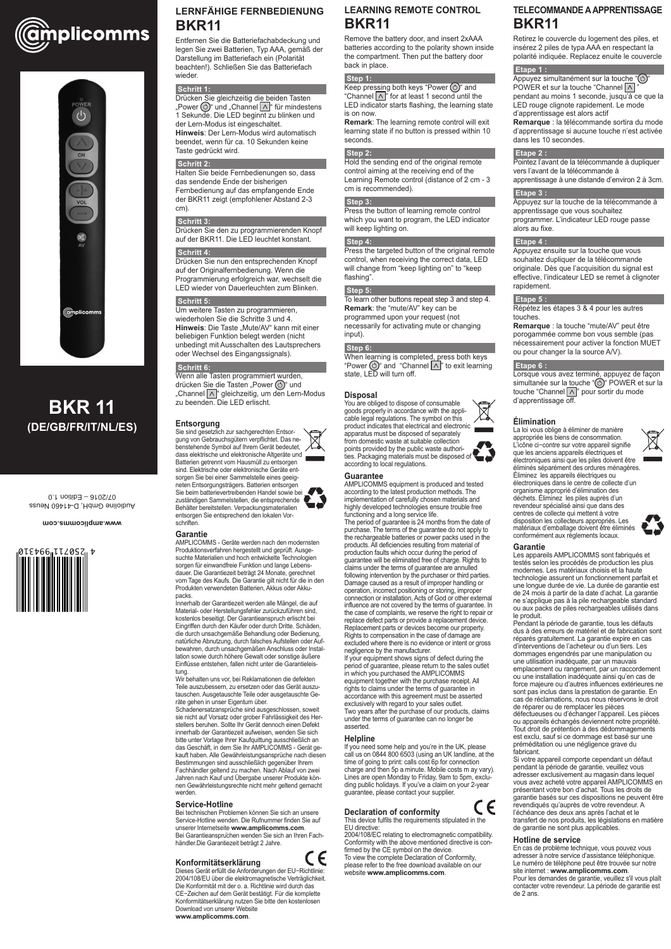



# **BKR 11 (DE/GB/FR/IT/NL/ES)**

# **LERNFÄHIGE FERNBEDIENUNG BKR11**

Entfernen Sie die Batteriefachabdeckung und legen Sie zwei Batterien, Typ AAA, gemäß der Darstellung im Batteriefach ein (Polarität beachten!). Schließen Sie das Batteriefach wieder.

#### **Schritt 1:**

Drücken Sie gleichzeitig die beiden Tasten "Power  $\circlearrowleft$ )" und "Channel  $\wedge$  " für mindestens 1 Sekunde. Die LED beginnt zu blinken und der Lern-Modus ist eingeschaltet. **Hinweis**: Der Lern-Modus wird automatisch beendet, wenn für ca. 10 Sekunden keine Taste gedrückt wird.

### **Schritt 2:**

Halten Sie beide Fernbedienungen so, dass das sendende Ende der bisherigen Fernbedienung auf das empfangende Ende der BKR11 zeigt (empfohlener Abstand 2-3 cm).

#### **Schritt 3:**

Drücken Sie den zu programmierenden Knopf auf der BKR11. Die LED leuchtet konstant.

#### **Schritt 4:**

Drücken Sie nun den entsprechenden Knopf auf der Originalfernbedienung. Wenn die Programmierung erfolgreich war, wechselt die LED wieder von Dauerleuchten zum Blinken.

#### **Schritt 5:**

Um weitere Tasten zu programmieren, wiederholen Sie die Schritte 3 und 4. **Hinweis**: Die Taste "Mute/AV" kann mit einer beliebigen Funktion belegt werden (nicht unbedingt mit Ausschalten des Lautsprechers oder Wechsel des Eingangssignals).

#### **Schritt 6:**

Wenn alle Tasten programmiert wurden, drücken Sie die Tasten "Power ( $\circlearrowright$ )" und "Channel  $\boxed{\wedge}$ " gleichzeitig, um den Lern-Modus zu beenden. Die LED erlischt.

#### **Entsorgung**

Sie sind gesetzlich zur sachgerechten Entsorgung von Gebrauchsgütern verpflichtet. Das nebenstehende Symbol auf Ihrem Gerät bedeutet, dass elektrische und elektronische Altgeräte und Batterien getrennt vom Hausmüll zu entsorgen sind. Elektrische oder elektronische Geräte entsorgen Sie bei einer Sammelstelle eines geeigneten Entsorgungsträgers. Batterien entsorgen Sie beim batterievertreibenden Handel sowie bei zuständigen Sammelstellen, die entsprechende Behälter bereitstellen. Verpackungsmaterialien

entsorgen Sie entsprechend den lokalen Vor-

# schriften. **Garantie**

AMPLICOMMS - Geräte werden nach den modernsten Produktionsverfahren hergestellt und geprüft. Ausgesuchte Materialien und hoch entwickelte Technologien sorgen für einwandfreie Funktion und lange Lebensdauer. Die Garantiezeit beträgt 24 Monate, gerechnet vom Tage des Kaufs. Die Garantie gilt nicht für die in den Produkten verwendeten Batterien, Akkus oder Akkupacks.

Keep pressing both keys "Power  $\circlearrowright$ " and "Channel  $\wedge$ " for at least 1 second until the LED indicator starts flashing, the learning state is on now.

Press the button of learning remote control which you want to program, the LED indicator will keep lighting on.

Innerhalb der Garantiezeit werden alle Mängel, die auf Material- oder Herstellungsfehler zurückzuführen sind, kostenlos beseitigt. Der Garantieanspruch erlischt bei Eingriffen durch den Käufer oder durch Dritte. Schäden, die durch unsachgemäße Behandlung oder Bedienung, natürliche Abnutzung, durch falsches Aufstellen oder Aufbewahren, durch unsachgemäßen Anschluss oder Installation sowie durch höhere Gewalt oder sonstige äußere Einflüsse entstehen, fallen nicht unter die Garantieleistung.

Wir behalten uns vor, bei Reklamationen die defekten Teile auszubessern, zu ersetzen oder das Gerät auszutauschen. Ausgetauschte Teile oder ausgetauschte Geräte gehen in unser Eigentum über.

Schadenersatzansprüche sind ausgeschlossen, soweit

sie nicht auf Vorsatz oder grober Fahrlässigkeit des Herstellers beruhen. Sollte Ihr Gerät dennoch einen Defekt innerhalb der Garantiezeit aufweisen, wenden Sie sich bitte unter Vorlage Ihrer Kaufquittung ausschließlich an das Geschäft, in dem Sie Ihr AMPLICOMMS - Gerät gekauft haben. Alle Gewährleistungsansprüche nach diesen Bestimmungen sind ausschließlich gegenüber Ihrem Fachhändler geltend zu machen. Nach Ablauf von zwei Jahren nach Kauf und Übergabe unserer Produkte können Gewährleistungsrechte nicht mehr geltend gemacht werden.

### **Service-Hotline**

Bei technischen Problemen können Sie sich an unsere Service-Hotline wenden. Die Rufnummer finden Sie auf unserer Internetseite **www.amplicomms.com**. Bei Garantieansprüchen wenden Sie sich an Ihren Fachhändler.Die Garantiezeit beträgt 2 Jahre.

# **Konformitätserklärung**

Dieses Gerät erfüllt die Anforderungen der EU−Richtlinie: 2004/108/EU über die elektromagnetische Verträglichkeit. Die Konformität mit der o. a. Richtlinie wird durch das CE−Zeichen auf dem Gerät bestätigt. Für die komplette Konformitätserklärung nutzen Sie bitte den kostenlosen Download von unserer Website **www.amplicomms.com**.

# **LEARNING REMOTE CONTROL BKR11**

Appuyez simultanément sur la touche " $\circlearrowleft$ " POWER et sur la touche "Channel  $\Delta$ pendant au moins 1 seconde, jusqu'à ce que la LED rouge clignote rapidement. Le mode d'apprentissage est alors actif

Remove the battery door, and insert 2xAAA batteries according to the polarity shown inside the compartment. Then put the battery door back in place.

#### **Step 1:**

**Remark**: The learning remote control will exit learning state if no button is pressed within 10 seconds.

#### **Step 2:**

Hold the sending end of the original remote control aiming at the receiving end of the Learning Remote control (distance of 2 cm - 3 cm is recommended).

#### **Step 3:**

### **Step 4:**

Press the targeted button of the original remote control, when receiving the correct data, LED will change from "keep lighting on" to "keep flashing".

#### **Step 5:**

To learn other buttons repeat step 3 and step 4. **Remark**: the "mute/AV" key can be programmed upon your request (not necessarily for activating mute or changing input).

#### **Step 6:**

When learning is completed, press both keys "Power  $\circlearrowleft$ " and "Channel  $\wedge$ " to exit learning state, LED will turn off.

#### **Disposal**

You are obliged to dispose of consumable goods properly in accordance with the applicable legal regulations. The symbol on this product indicates that electrical and electronic apparatus must be disposed of separately from domestic waste at suitable collection points provided by the public waste authorities. Packaging materials must be disposed of according to local regulations.

#### **Guarantee**

AMPLICOMMS equipment is produced and tested according to the latest production methods. The implementation of carefully chosen materials and highly developed technologies ensure trouble free functioning and a long service life.

The period of guarantee is 24 months from the date of purchase. The terms of the guarantee do not apply to the rechargeable batteries or power packs used in the products. All deficiencies resulting from material of production faults which occur during the period of guarantee will be eliminated free of charge. Rights to claims under the terms of guarantee are annulled following intervention by the purchaser or third parties. Damage caused as a result of improper handling or operation, incorrect positioning or storing, improper connection or installation, Acts of God or other external influence are not covered by the terms of guarantee. In the case of complaints, we reserve the right to repair or replace defect parts or provide a replacement device. Replacement parts or devices become our property. Rights to compensation in the case of damage are excluded where there is no evidence or intent or gross negligence by the manufacturer.

If your equipment shows signs of defect during the period of guarantee, please return to the sales outlet in which you purchased the AMPLICOMMS equipment together with the purchase receipt. All rights to claims under the terms of guarantee in accordance with this agreement must be asserted exclusively with regard to your sales outlet. Two years after the purchase of our products, claims

under the terms of guarantee can no longer be asserted.

# **Helpline**

C E

If you need some help and you're in the UK, please call us on 0844 800 6503 (using an UK landline, at the time of going to print: calls cost 6p for connection charge and then 5p a minute. Mobile costs m ay vary). Lines are open Monday to Friday, 9am to 5pm, excluding public holidays. If you've a claim on your 2-year guarantee, please contact your supplier.

# **Declaration of conformity**

This device fulfils the requirements stipulated in the EU directive:

CE

2004/108/EC relating to electromagnetic compatibility. Conformity with the above mentioned directive is confirmed by the CE symbol on the device.

To view the complete Declaration of Conformity, please refer to the free download available on our website **www.amplicomms.com**.

# **TELECOMMANDE A APPRENTISSAGE BKR11**

Retirez le couvercle du logement des piles, et insérez 2 piles de typa AAA en respectant la polarité indiquée. Replacez enuite le couvercle

# **Etape 1 :**

**Remarque** : la télécommande sortira du mode d'apprentissage si aucune touche n'est activée dans les 10 secondes.

#### **Etape 2 :**

Pointez l'avant de la télécommande à dupliquer vers l'avant de la télécommande à apprentissage à une distande d'environ 2 à 3cm.

#### **Etape 3 :**

Appuyez sur la touche de la télécommande à apprentissage que vous souhaitez programmer. L'indicateur LED rouge passe alors au fixe.

#### **Etape 4 :**

Appuyez ensuite sur la touche que vous souhaitez dupliquer de la télécommande originale. Dès que l'acquisition du signal est effective, l'indicateur LED se remet à clignoter rapidement.

#### **Etape 5 :**

Répétez les étapes 3 & 4 pour les autres touches.

**Remarque** : la touche "mute/AV" peut être porogammée comme bon vous semble (pas nécessairement pour activer la fonction MUET ou pour changer la la source A/V).

#### **Etape 6 :**

Lorsque vous avez terminé, appuyez de façon simultanée sur la <u>tou</u>che "①" POWER et sur la touche "Channel [∧]" pour sortir du mode d'apprentissage off.

# **Élimination**

La loi vous oblige à éliminer de manière appropriée les biens de consommation. L'icône ci−contre sur votre appareil signifie que les anciens appareils électriques et électroniques ainsi que les piles doivent être éliminés séparément des ordures ménagères. Éliminez les appareils électriques ou électroniques dans le centre de collecte d'un organisme approprié d'élimination des déchets. Éliminez les piles auprès d'un revendeur spécialisé ainsi que dans des centres de collecte qui mettent à votre disposition les collecteurs appropriés. Les matériaux d'emballage doivent être éliminés conformément aux règlements locaux.



#### **Garantie**

Les appareils AMPLICOMMS sont fabriqués et testés selon les procédés de production les plus modernes. Les matériaux choisis et la haute technologie assurent un fonctionnement parfait et une longue durée de vie. La durée de garantie est de 24 mois à partir de la date d'achat. La garantie ne s'applique pas à la pile rechargeable standard ou aux packs de piles rechargeables utilisés dans le produit.

Pendant la période de garantie, tous les défauts dus à des erreurs de matériel et de fabrication sont réparés gratuitement. La garantie expire en cas d'interventions de l'acheteur ou d'un tiers. Les dommages engendrés par une manipulation ou une utilisation inadéquate, par un mauvais emplacement ou rangement, par un raccordement ou une installation inadéquate ainsi qu'en cas de force majeure ou d'autres influences extérieures ne sont pas inclus dans la prestation de garantie. En cas de réclamations, nous nous réservons le droit de réparer ou de remplacer les pièces défectueuses ou d'échanger l'appareil. Les pièces ou appareils échangés deviennent notre propriété. Tout droit de prétention à des dédommagements est exclu, sauf si ce dommage est basé sur une préméditation ou une négligence grave du fabricant. Si votre appareil comporte cependant un défaut pendant la période de garantie, veuillez vous adresser exclusivement au magasin dans lequel vous avez acheté votre appareil AMPLICOMMS en présentant votre bon d'achat. Tous les droits de garantie basés sur ces dispositions ne peuvent être revendiqués qu'auprès de votre revendeur. A l'échéance des deux ans après l'achat et le transfert de nos produits, les législations en matière de garantie ne sont plus applicables.



# **Hotline de service**

En cas de problème technique, vous pouvez vous adresser à notre service d'assistance téléphonique. Le numéro de téléphone peut être trouvée sur notre site internet : **www.amplicomms.com**.

Pour les demandes de garantie, veuillez s'il vous plaît contacter votre revendeur. La période de garantie est de 2 ans.

#### **www.amplicomms.com**

Audioline GmbH, D-41460 Neuss 07/2016 – Edition 1.0